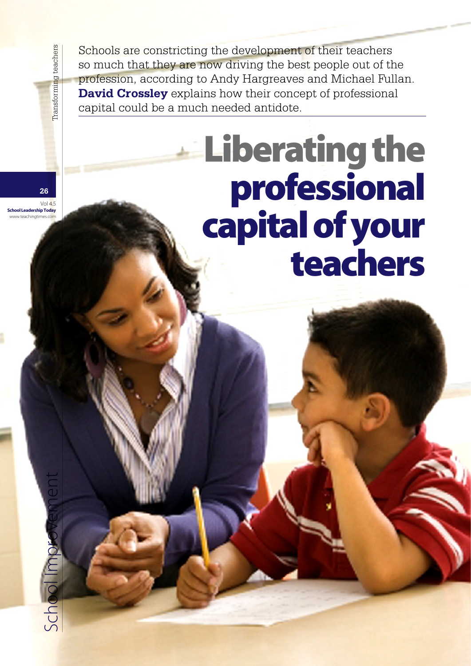Schools are constricting the development of their teachers so much that they are now driving the best people out of the profession, according to Andy Hargreaves and Michael Fullan. **David Crossley** explains how their concept of professional capital could be a much needed antidote.

# Liberating the professional capital of your teachers

**26**  $Vol4<sup>5</sup>$ 

chool Imp

Transforming teachers

rship Today ww.teachingti  $School$   $MPOVENCHC$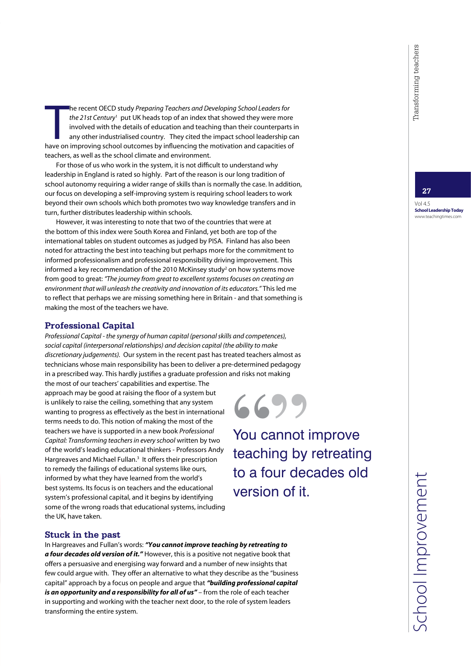The recent OECD study *Preparing Teachers and Developing School Leaders for*<br>the 21st Century<sup>1</sup> put UK heads top of an index that showed they were more<br>involved with the details of education and teaching than their counte he recent OECD study *Preparing Teachers and Developing School Leaders for*  the 21st Century<sup>1</sup> put UK heads top of an index that showed they were more involved with the details of education and teaching than their counterparts in any other industrialised country. They cited the impact school leadership can teachers, as well as the school climate and environment.

For those of us who work in the system, it is not difficult to understand why leadership in England is rated so highly. Part of the reason is our long tradition of school autonomy requiring a wider range of skills than is normally the case. In addition, our focus on developing a self-improving system is requiring school leaders to work beyond their own schools which both promotes two way knowledge transfers and in turn, further distributes leadership within schools.

However, it was interesting to note that two of the countries that were at the bottom of this index were South Korea and Finland, yet both are top of the international tables on student outcomes as judged by PISA. Finland has also been noted for attracting the best into teaching but perhaps more for the commitment to informed professionalism and professional responsibility driving improvement. This informed a key recommendation of the 2010 McKinsey study<sup>2</sup> on how systems move from good to great: *"The journey from great to excellent systems focuses on creating an environment that will unleash the creativity and innovation of its educators."* This led me to reflect that perhaps we are missing something here in Britain - and that something is making the most of the teachers we have.

### **Professional Capital**

*Professional Capital - the synergy of human capital (personal skills and competences), social capital (interpersonal relationships) and decision capital (the ability to make discretionary judgements).* Our system in the recent past has treated teachers almost as technicians whose main responsibility has been to deliver a pre-determined pedagogy in a prescribed way. This hardly justifies a graduate profession and risks not making

the most of our teachers' capabilities and expertise. The approach may be good at raising the floor of a system but is unlikely to raise the ceiling, something that any system wanting to progress as effectively as the best in international terms needs to do. This notion of making the most of the teachers we have is supported in a new book *Professional Capital: Transforming teachers in every school* written by two of the world's leading educational thinkers - Professors Andy Hargreaves and Michael Fullan.<sup>3</sup> It offers their prescription to remedy the failings of educational systems like ours, informed by what they have learned from the world's best systems. Its focus is on teachers and the educational system's professional capital, and it begins by identifying some of the wrong roads that educational systems, including the UK, have taken.

You cannot improve **6699** 

teaching by retreating to a four decades old version of it.

#### **Stuck in the past**

In Hargreaves and Fullan's words: *"You cannot improve teaching by retreating to a four decades old version of it."* However, this is a positive not negative book that offers a persuasive and energising way forward and a number of new insights that few could argue with. They offer an alternative to what they describe as the "business capital" approach by a focus on people and argue that *"building professional capital*  is an opportunity and a responsibility for all of us" – from the role of each teacher in supporting and working with the teacher next door, to the role of system leaders transforming the entire system.

#### **27**

Vol 4.5 School Leadership Today www.teachingtimes.com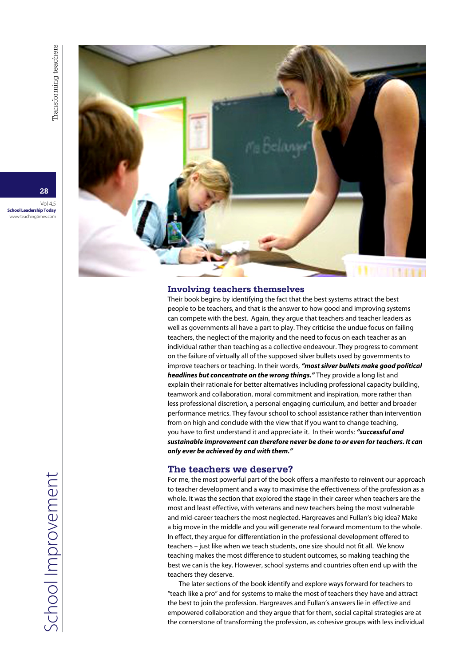Vol 4.5 School Leadership Today www.teachingtimes.com

## **Involving teachers themselves**

Their book begins by identifying the fact that the best systems attract the best people to be teachers, and that is the answer to how good and improving systems can compete with the best. Again, they argue that teachers and teacher leaders as well as governments all have a part to play. They criticise the undue focus on failing teachers, the neglect of the majority and the need to focus on each teacher as an individual rather than teaching as a collective endeavour. They progress to comment on the failure of virtually all of the supposed silver bullets used by governments to improve teachers or teaching. In their words, *"most silver bullets make good political headlines but concentrate on the wrong things."* They provide a long list and explain their rationale for better alternatives including professional capacity building, teamwork and collaboration, moral commitment and inspiration, more rather than less professional discretion, a personal engaging curriculum, and better and broader performance metrics. They favour school to school assistance rather than intervention from on high and conclude with the view that if you want to change teaching, you have to first understand it and appreciate it. In their words: *"successful and sustainable improvement can therefore never be done to or even for teachers. It can only ever be achieved by and with them."*

#### **The teachers we deserve?**

For me, the most powerful part of the book offers a manifesto to reinvent our approach to teacher development and a way to maximise the effectiveness of the profession as a whole. It was the section that explored the stage in their career when teachers are the most and least effective, with veterans and new teachers being the most vulnerable and mid-career teachers the most neglected. Hargreaves and Fullan's big idea? Make a big move in the middle and you will generate real forward momentum to the whole. In effect, they argue for differentiation in the professional development offered to teachers – just like when we teach students, one size should not fit all. We know teaching makes the most difference to student outcomes, so making teaching the best we can is the key. However, school systems and countries often end up with the teachers they deserve.

The later sections of the book identify and explore ways forward for teachers to "teach like a pro" and for systems to make the most of teachers they have and attract the best to join the profession. Hargreaves and Fullan's answers lie in effective and empowered collaboration and they argue that for them, social capital strategies are at the cornerstone of transforming the profession, as cohesive groups with less individual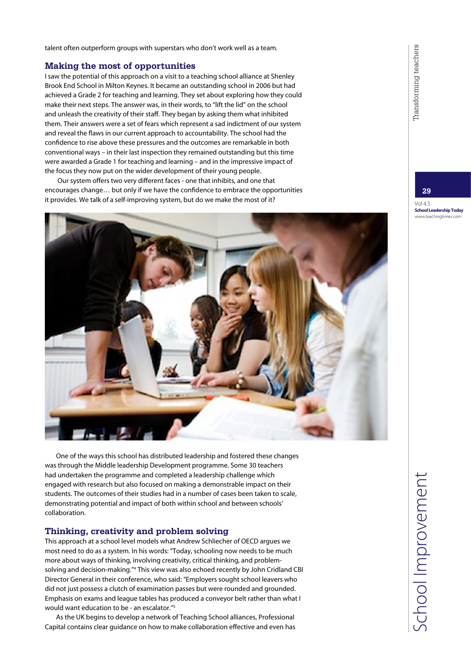talent often outperform groups with superstars who don't work well as a team.

#### **Making the most of opportunities**

I saw the potential of this approach on a visit to a teaching school alliance at Shenley Brook End School in Milton Keynes. It became an outstanding school in 2006 but had achieved a Grade 2 for teaching and learning. They set about exploring how they could make their next steps. The answer was, in their words, to "lift the lid" on the school and unleash the creativity of their staff. They began by asking them what inhibited them. Their answers were a set of fears which represent a sad indictment of our system and reveal the flaws in our current approach to accountability. The school had the confidence to rise above these pressures and the outcomes are remarkable in both conventional ways – in their last inspection they remained outstanding but this time were awarded a Grade 1 for teaching and learning – and in the impressive impact of the focus they now put on the wider development of their young people.

 Our system offers two very different faces - one that inhibits, and one that encourages change… but only if we have the confidence to embrace the opportunities it provides. We talk of a self-improving system, but do we make the most of it?



One of the ways this school has distributed leadership and fostered these changes was through the Middle leadership Development programme. Some 30 teachers had undertaken the programme and completed a leadership challenge which engaged with research but also focused on making a demonstrable impact on their students. The outcomes of their studies had in a number of cases been taken to scale, demonstrating potential and impact of both within school and between schools' collaboration.

#### **Thinking, creativity and problem solving**

This approach at a school level models what Andrew Schliecher of OECD argues we most need to do as a system. In his words: "Today, schooling now needs to be much more about ways of thinking, involving creativity, critical thinking, and problemsolving and decision-making."4 This view was also echoed recently by John Cridland CBI Director General in their conference, who said: "Employers sought school leavers who did not just possess a clutch of examination passes but were rounded and grounded. Emphasis on exams and league tables has produced a conveyor belt rather than what I would want education to be - an escalator."5

As the UK begins to develop a network of Teaching School alliances, Professional Capital contains clear guidance on how to make collaboration effective and even has **29**

Vol 4.5 School Leadership Today www.teachingtimes.com